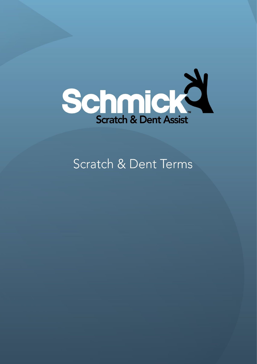

# Scratch & Dent Terms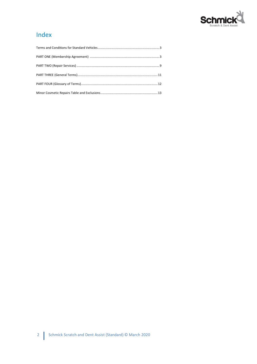

# Index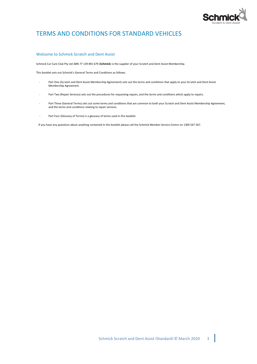

# TERMS AND CONDITIONS FOR STANDARD VEHICLES

### Welcome to Schmick Scratch and Dent Assist

Schmick Car Care Club Pty Ltd ABN 77 139 891 679 (**Schmick**) is the supplier of your Scratch and Dent Assist Membership.

This booklet sets out Schmick's General Terms and Conditions as follows:

- Part One (Scratch and Dent Assist Membership Agreement) sets out the terms and conditions that apply to your Scratch and Dent Assist Membership Agreement.
- Part Two (Repair Services) sets out the procedures for requesting repairs, and the terms and conditions which apply to repairs.
- Part Three (General Terms) sets out some terms and conditions that are common to both your Scratch and Dent Assist Membership Agreement, and the terms and conditions relating to repair services.
- Part Four (Glossary of Terms) is a glossary of terms used in this booklet.

If you have any questions about anything contained in this booklet please call the Schmick Member Service Centre on 1300 567 567.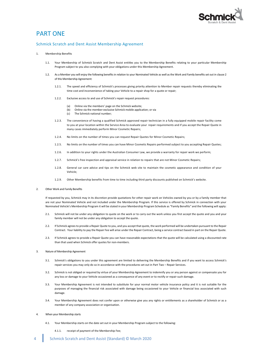

### PART ONE

#### Schmick Scratch and Dent Assist Membership Agreement

#### 1. Membership Benefits

- 1.1. Your Membership of Schmick Scratch and Dent Assist entitles you to the Membership Benefits relating to your particular Membership Program subject to you also complying with your obligations under this Membership Agreement.
- 1.2. As a Member you will enjoy the following benefits in relation to your Nominated Vehicle as well as the Work and Family benefits set out in claus[e 2](#page-3-0) of this Membership Agreement:
	- 1.2.1. The speed and efficiency of Schmick's processes giving priority attention to Member repair requests thereby eliminating the time cost and inconvenience of taking your Vehicle to a repair shop for a quote or repair;
	- 1.2.2. Exclusive access to and use of Schmick's repair request procedures:
		- (a) Online via the members' page on the Schmick website;
		- (b) Online via the member-exclusive Schmick mobile application; or via
		- (c) The Schmick national number;
	- 1.2.3. The convenience of having a qualified Schmick approved repair technician in a fully equipped mobile repair facility come to you at your location within the Service Area to evaluate your repair requirements and if you accept the Repair Quote in many cases immediately perform Minor Cosmetic Repairs;
	- 1.2.4. No limits on the number of times you can request Repair Quotes for Minor Cosmetic Repairs;
	- 1.2.5. No limits on the number of times you can have Minor Cosmetic Repairs performed subject to you accepting Repair Quotes;
	- 1.2.6. In addition to your rights under the Australian Consumer Law, we provide a warranty for repair work we perform;
	- 1.2.7. Schmick's free inspection and appraisal service in relation to repairs that are not Minor Cosmetic Repairs;
	- 1.2.8. General car care advice and tips on the Schmick web site to maintain the cosmetic appearance and condition of your Vehicle;
	- 1.2.9. Other Membership benefits from time to time including third party discounts published on Schmick's website.
- <span id="page-3-0"></span>2. Other Work and Family Benefits

If requested by you, Schmick may in its discretion provide quotations for other repair work on Vehicles owned by you or by a family member that are not your Nominated Vehicle and not included under the Membership Program. If this service is offered by Schmick in connection with your Nominated Vehicle's Membership Program it will be stated in your Membership Program Schedule as "Family Benefits" and the following will apply:

- 2.1. Schmick will not be under any obligation to quote on the work or to carry out the work unless you first accept the quote and you and your family member will not be under any obligation to accept the quote.
- 2.2. If Schmick agrees to provide a Repair Quote to you, and you accept that quote, the work performed will be undertaken pursuant to the Repair Contract. Your liability to pay the Repair Fee will arise under the Repair Contract, being a service contract based in part on the Repair Quote.
- 2.3. If Schmick agrees to provide a Repair Quote you can have reasonable expectations that the quote will be calculated using a discounted rate than that used when Schmick offer quotes for non-members.
- 3. Nature of Membership Agreement
	- 3.1. Schmick's obligations to you under this agreement are limited to delivering the Membership Benefits and if you want to access Schmick's repair services you may only do so in accordance with the procedures set out in Part Two – Repair Services.
	- 3.2. Schmick is not obliged or required by virtue of your Membership Agreement to indemnify you or any person against or compensate you for any loss or damage to your Vehicle occasioned as a consequence of any event or to rectify or repair such damage.
	- 3.3. Your Membership Agreement is not intended to substitute for your normal motor vehicle insurance policy and it is not suitable for the purposes of managing the financial risk associated with damage being occasioned to your Vehicle or financial loss associated with such damage.
	- 3.4. Your Membership Agreement does not confer upon or otherwise give you any rights or entitlements as a shareholder of Schmick or as a member of any company association or organisation.
- 4. When your Membership starts
	- 4.1. Your Membership starts on the date set out in your Membership Program subject to the following:
		- 4.1.1. receipt of payment of the Membership Fee;
- 4 Schmick Scratch and Dent Assist (Standard) © March 2020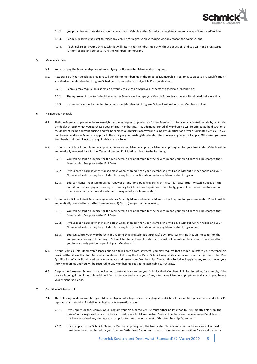

- 4.1.2. you providing accurate details about you and your Vehicle so that Schmick can register your Vehicle as a Nominated Vehicle;
- 4.1.3. Schmick reserves the right to reject any Vehicle for registration without giving any reason for doing so; and
- 4.1.4. if Schmick rejects your Vehicle, Schmick will return your Membership Fee without deduction, and you will not be registered for nor receive any benefits from the Membership Program.

#### 5. Membership Fees

- 5.1. You must pay the Membership Fee when applying for the selected Membership Program.
- 5.2. Acceptance of your Vehicle as a Nominated Vehicle for membership in the selected Membership Program is subject to Pre-Qualification if specified in the Membership Program Schedule. If your Vehicle is subject to Pre-Qualification:
	- 5.2.1. Schmick may require an inspection of your Vehicle by an Approved Inspector to ascertain its condition;
	- 5.2.2. The Approved Inspector's decision whether Schmick will accept your Vehicle for registration as a Nominated Vehicle is final;
	- 5.2.3. If your Vehicle is not accepted for a particular Membership Program, Schmick will refund your Membership Fee.

#### 6. Membership Renewals

- 6.1. Platinum Memberships cannot be renewed, but you may request to purchase a further Membership for your Nominated Vehicle by contacting the dealer through which you purchased your original Membership. Any additional period of Membership will be offered at the discretion of the dealer at its then-current pricing, and will be subject to Schmick's approval (including Pre-Qualification of your Nominated Vehicle). If you purchase an additional Membership prior to the expiry of your existing Membership, then no Waiting Period will apply. Otherwise, your new Membership will be subject to the applicable Waiting Period.
- 6.2. If you hold a Schmick Gold Membership which is an annual Membership, your Membership Program for your Nominated Vehicle will be automatically renewed for a further Term (of twelve (12) Months) subject to the following:
	- 6.2.1. You will be sent an invoice for the Membership Fee applicable for the new term and your credit card will be charged that Membership Fee prior to the End Date;
	- 6.2.2. If your credit card payment fails to clear when charged, then your Membership will lapse without further notice and your Nominated Vehicle may be excluded from any future participation under any Membership Program;
	- 6.2.3. You can cancel your Membership renewal at any time by giving Schmick thirty (30) days' prior written notice, on the condition that you pay any money outstanding to Schmick for Repair Fees. For clarity, you will not be entitled to a refund of any fees that you have already paid in respect of your Membership.
- 6.3. If you hold a Schmick Gold Membership which is a Monthly Membership, your Membership Program for your Nominated Vehicle will be automatically renewed for a further Term (of one (1) Month) subject to the following:
	- 6.3.1. You will be sent an invoice for the Membership Fee applicable for the new term and your credit card will be charged that Membership Fee prior to the End Date;
	- 6.3.2. If your credit card payment fails to clear when charged, then your Membership will lapse without further notice and your Nominated Vehicle may be excluded from any future participation under any Membership Program; and
	- 6.3.3. You can cancel your Membership at any time by giving Schmick thirty (30) days' prior written notice, on the condition that you pay any money outstanding to Schmick for Repair Fees. For clarity, you will not be entitled to a refund of any fees that you have already paid in respect of your Membership.
- 6.4. If your Schmick Gold Membership lapses due to a failed credit card payment, you may request that Schmick reinstate your Membership provided that it less than four (4) weeks has elapsed following the End Date. Schmick may, at its sole discretion and subject to further Pre-Qualification of your Nominated Vehicle, reinstate and renew your Membership. The Waiting Period will apply to any repairs under your new Membership and you will be required to pay Membership Fees at the applicable current rate.
- 6.5. Despite the foregoing, Schmick may decide not to automatically renew your Schmick Gold Membership in its discretion, for example, if the service is being discontinued. Schmick will first notify you and advise you of any alternative Membership options available to you, before your Membership ends.

#### 7. Conditions of Membership

- 7.1. The following conditions apply to your Membership in order to preserve the high quality of Schmick's cosmetic repair services and Schmick's reputation and standing for delivering high quality cosmetic repairs:
	- 7.1.1. If you apply for the Schmick Gold Program your Nominated Vehicle must either be less than four (4) month's old from the date of initial registration or must be approved by a Schmick Authorised Person. In either case the Nominated Vehicle must not have sustained any damage existing prior to the commencement of this Membership Agreement.
	- 7.1.2. If you apply for the Schmick Platinum Membership Program, the Nominated Vehicle must either be new or if it is used it must have been purchased by you from an Authorised Dealer and it must have been no more than 7 years since initial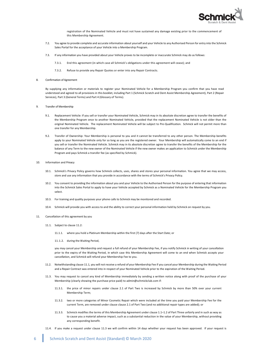

registration of the Nominated Vehicle and must not have sustained any damage existing prior to the commencement of this Membership Agreement.

- 7.2. You agree to provide complete and accurate information about yourself and your Vehicle to any Authorised Person for entry into the Schmick Sales Portal for the acceptance of your Vehicle into a Membership Program.
- 7.3. If any information you have provided about your Vehicle proves to be incomplete or inaccurate Schmick may do as follows:
	- 7.3.1. End this agreement (in which case all Schmick's obligations under this agreement will cease); and
	- 7.3.2. Refuse to provide any Repair Quotes or enter into any Repair Contracts.
- 8. Confirmation of Agreement

By supplying any information or materials to register your Nominated Vehicle for a Membership Program you confirm that you have read understood and agreed to all provisions in this booklet, including Part 1 (Schmick Scratch and Dent Assist Membership Agreement), Part 2 (Repair Services), Part 3 (General Terms) and Part 4 (Glossary of Terms).

- Transfer of Membership
	- 9.1. Replacement Vehicle: If you sell or transfer your Nominated Vehicle, Schmick may in its absolute discretion agree to transfer the benefits of the Membership Program once to another Nominated Vehicle, provided that the replacement Nominated Vehicle is not older than the original Nominated Vehicle. The replacement Nominated Vehicle will be subject to Pre-Qualification. Schmick will not permit more than one transfer for any Membership.
	- 9.2. Transfer of Ownership: Your Membership is personal to you and it cannot be transferred to any other person. The Membership benefits apply to your Nominated Vehicle only for so long as you are the registered owner. Your Membership will automatically come to an end if you sell or transfer the Nominated Vehicle. Schmick may in its absolute discretion agree to transfer the benefits of the Membership for the balance of any Term to the new owner of the Nominated Vehicle if the new owner makes an application to Schmick under the Membership Program and pays Schmick a transfer fee (as specified by Schmick).
- 10. Information and Privacy
	- 10.1. Schmick's Privacy Policy governs how Schmick collects, uses, shares and stores your personal information. You agree that we may access, store and use any information that you provide in accordance with the terms of Schmick's Privacy Policy.
	- 10.2. You consent to providing the information about you and your Vehicle to the Authorised Person for the purpose of entering that information into the Schmick Sales Portal to apply to have your Vehicle accepted by Schmick as a Nominated Vehicle for the Membership Program you select.
	- 10.3. For training and quality purposes your phone calls to Schmick may be monitored and recorded.
	- 10.4. Schmick will provide you with access to and the ability to correct your personal information held by Schmick on request by you.
- <span id="page-5-1"></span>11. Cancellation of this agreement by you
	- 11.1. Subject to clause [11.2:](#page-5-0)

11.1.1. where you hold a Platinum Membership within the first (7) days after the Start Date; or

11.1.2. during the Waiting Period,

you may cancel your Membership and request a full refund of your Membership Fee, if you notify Schmick in writing of your cancellation prior to the expiry of the Waiting Period, in which case this Membership Agreement will come to an end when Schmick accepts your cancellation, and Schmick will refund your Membership Fee to you.

- <span id="page-5-0"></span>11.2. Notwithstanding clause [11.1,](#page-5-1) you will not receive a refund of your Membership Fee if you cancel your Membership during the Waiting Period and a Repair Contract was entered into in respect of your Nominated Vehicle prior to the expiration of the Waiting Period.
- <span id="page-5-2"></span>11.3. You may request to cancel any kind of Membership immediately by sending a written notice along with proof of the purchase of your Membership (clearly showing the purchase price paid) to admin@schmickclub.com if:
	- 11.3.1. the price of minor repairs under clause [2.1](#page-7-0) of Part Two is increased by Schmick by more than 50% over your current Membership Term;
	- 11.3.2. two or more categories of Minor Cosmetic Repair which were included at the time you paid your Membership Fee for the current Term, are removed under clause clause 2.1 of Part Two (and no additional repair types are added); or
	- 11.3.3. Schmick modifies the terms of this Membership Agreement under claus[e 1.1](#page-9-0)[–1.2](#page-9-1) of Part Three unfairly and in such as way as to cause you a material adverse impact, such as a substantial reduction in the value of your Membership, without providing any corresponding benefit.
- 11.4. If you make a request under claus[e 11.3](#page-5-2) we will confirm within 14 days whether your request has been approved. If your request is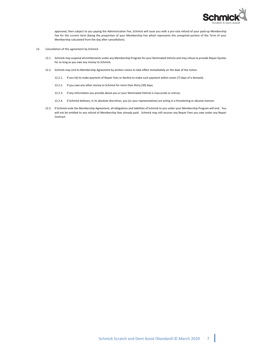

approved, then subject to you paying the Administration Fee, Schmick will issue you with a pro-rata refund of your paid-up Membership Fee for the current term (being the proportion of your Membership Fee which represents the unexpired portion of the Term of your Membership calculated from the day after cancellation).

- 12. Cancellation of this agreement by Schmick
	- 12.1. Schmick may suspend all entitlements under any Membership Program for your Nominated Vehicle and may refuse to provide Repair Quotes for so long as you owe any money to Schmick.
	- 12.2. Schmick may end its Membership Agreement by written notice to take effect immediately on the date of the notice:
		- 12.2.1. If you fail to make payment of Repair Fees or decline to make such payment within seven (7) days of a demand;
		- 12.2.2. If you owe any other money to Schmick for more than thirty (30) days;
		- 12.2.3. If any information you provide about you or your Nominated Vehicle is inaccurate or untrue;
		- 12.2.4. If Schmick believes, in its absolute discretion, you (or your representative) are acting in a threatening or abusive manner.
	- 12.3. If Schmick ends the Membership Agreement, all obligations and liabilities of Schmick to you under your Membership Program will end. You will not be entitled to any refund of Membership fees already paid. Schmick may still recover any Repair Fees you owe under any Repair Contract.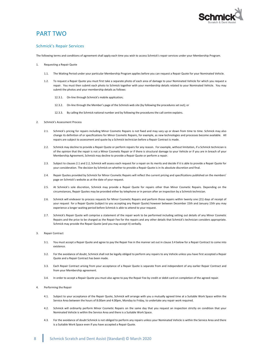

# PART TWO

### Schmick's Repair Services

The following terms and conditions of agreement shall apply each time you wish to access Schmick's repair services under your Membership Program.

- 1. Requesting a Repair Quote
	- 1.1. The Waiting Period under your particular Membership Program applies before you can request a Repair Quote for your Nominated Vehicle.
	- 1.2. To request a Repair Quote you must first take a separate photo of each area of damage to your Nominated Vehicle for which you request a repair. You must then submit each photo to Schmick together with your membership details related to your Nominated Vehicle. You may submit the photos and your membership details as follows:
		- 12.3.1. On-line through Schmick's mobile application;
		- 12.3.2. On-line through the Member's page of the Schmick web site (by following the procedures set out); or
		- 12.3.3. By calling the Schmick national number and by following the procedures the call centre explains.
- <span id="page-7-1"></span><span id="page-7-0"></span>2. Schmick's Assessment Process
	- 2.1. Schmick's pricing for repairs including Minor Cosmetic Repairs is not fixed and may vary up or down from time to time. Schmick may also change its definition of or specifications for Minor Cosmetic Repairs, for example, as new technologies and processes become available. All repairs are subject to assessment and quote by a Schmick technician before a Repair Contract is made.
	- 2.2. Schmick may decline to provide a Repair Quote or perform repairs for any reason. For example, without limitation, if a Schmick technician is of the opinion that the repair is not a Minor Cosmetic Repair or if there is structural damage to your Vehicle or if you are in breach of your Membership Agreement, Schmick may decline to provide a Repair Quote or perform a repair.
	- 2.3. Subject to clauses [2.1](#page-7-0) and [2.2,](#page-7-1) Schmick will assess each request for a repair on its merits and decide if it is able to provide a Repair Quote for your consideration. The decision by Schmick on whether to provide a Repair Quote is in its absolute discretion and final.
	- 2.4. Repair Quotes provided by Schmick for Minor Cosmetic Repairs will reflect the current pricing and specifications published on the members' page on Schmick's website as at the date of your request.
	- 2.5. At Schmick's sole discretion, Schmick may provide a Repair Quote for repairs other than Minor Cosmetic Repairs. Depending on the circumstances, Repair Quotes may be provided either by telephone or in person after an inspection by a Schmick technician.
	- 2.6. Schmick will endeavor to process requests for Minor Cosmetic Repairs and perform those repairs within twenty one (21) days of receipt of your request for a Repair Quote (subject to you accepting any Repair Quote) however between December 15th and January 15th you may experience a longer waiting period before Schmick is able to attend to your request.
	- 2.7. Schmick's Repair Quote will comprise a statement of the repair work to be performed including setting out details of any Minor Cosmetic Repairs and the price to be charged as the Repair Fee for the repairs and any other details that Schmick's technician considers appropriate. Schmick may provide the Repair Quote (and you may accept it) verbally.

#### <span id="page-7-3"></span>3. Repair Contract

- 3.1. You must accept a Repair Quote and agree to pay the Repair Fee in the manner set out in clause [3.4](#page-7-2) below for a Repair Contract to come into existence.
- 3.2. For the avoidance of doubt, Schmick shall not be legally obliged to perform any repairs to any Vehicle unless you have first accepted a Repair Quote and a Repair Contract has been made.
- 3.3. Each Repair Contract arising from your acceptance of a Repair Quote is separate from and independent of any earlier Repair Contract and from your Membership agreement.
- <span id="page-7-2"></span>3.4. In order to accept a Repair Quote you must also agree to pay the Repair Fee by credit or debit card on completion of the agreed repair.
- Performing the Repair
	- 4.1. Subject to your acceptance of the Repair Quote, Schmick will arrange with you a mutually agreed time at a Suitable Work Space within the Service Area between the hours of 8.00am and 4.00pm, Monday to Friday, to undertake any repair work required.
	- 4.2. Schmick will ordinarily perform Minor Cosmetic Repairs on the same day that you request an inspection strictly on condition that your Nominated Vehicle is within the Service Area and there is a Suitable Work Space.
	- 4.3. For the avoidance of doubt Schmick is not obliged to perform any repairs unless your Nominated Vehicle is within the Service Area and there is a Suitable Work Space even if you have accepted a Repair Quote.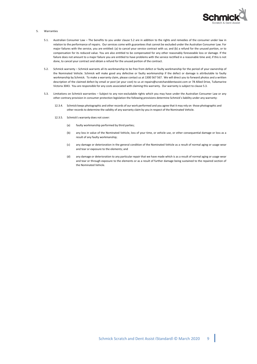

#### 5. Warranties

- 5.1. Australian Consumer Law The benefits to you under claus[e 5.2](#page-8-0) are in addition to the rights and remedies of the consumer under law in relation to the performance of repairs. Our services come with guarantees that cannot be excluded under the Australian Consumer Law. For major failures with the service, you are entitled: (a) to cancel your service contract with us; and (b) a refund for the unused portion, or to compensation for its reduced value. You are also entitled to be compensated for any other reasonably foreseeable loss or damage. If the failure does not amount to a major failure you are entitled to have problems with the service rectified in a reasonable time and, if this is not done, to cancel your contract and obtain a refund for the unused portion of the contract.
- <span id="page-8-0"></span>5.2. Schmick warranty – Schmick warrants all its workmanship to be free from defect or faulty workmanship for the period of your ownership of the Nominated Vehicle. Schmick will make good any defective or faulty workmanship if the defect or damage is attributable to faulty workmanship by Schmick. To make a warranty claim, please contact us at 1300 567 567. We will direct you to forward photos and a written description of the claimed defect by email or post (at your cost) to us a[t repairs@scratchanddentassist.com](mailto:repairs@scratchanddentassist.com) or 78 Allied Drive, Tullamarine Victoria 3043. You are responsible for any costs associated with claiming this warranty. Our warranty is subject to claus[e 5.3.](#page-8-1)
- <span id="page-8-1"></span>5.3. Limitations on Schmick warranties – Subject to any non-excludable rights which you may have under the Australian Consumer Law or any other contrary provision in consumer protection legislation the following provisions determine Schmick's liability under any warranty:
	- 12.3.4. Schmick keeps photographic and other records of our work performed and you agree that it may rely on those photographic and other records to determine the validity of any warranty claim by you in respect of the Nominated Vehicle.
	- 12.3.5. Schmick's warranty does not cover:
		- (a) faulty workmanship performed by third parties;
		- (b) any loss in value of the Nominated Vehicle, loss of your time, or vehicle use, or other consequential damage or loss as a result of any faulty workmanship;
		- (c) any damage or deterioration in the general condition of the Nominated Vehicle as a result of normal aging or usage wear and tear or exposure to the elements; and
		- (d) any damage or deterioration to any particular repair that we have made which is as a result of normal aging or usage wear and tear or through exposure to the elements or as a result of further damage being sustained to the repaired section of the Nominated Vehicle.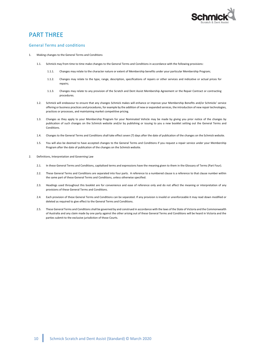

### PART THREE

### General Terms and conditions

- <span id="page-9-1"></span><span id="page-9-0"></span>1. Making changes to the General Terms and Conditions
	- 1.1. Schmick may from time to time make changes to the General Terms and Conditions in accordance with the following provisions:
		- 1.1.1. Changes may relate to the character nature or extent of Membership benefits under your particular Membership Program;
		- 1.1.2. Changes may relate to the type, range, description, specifications of repairs or other services and indicative or actual prices for repairs;
		- 1.1.3. Changes may relate to any provision of the Scratch and Dent Assist Membership Agreement or the Repair Contract or contracting procedures.
	- 1.2. Schmick will endeavour to ensure that any changes Schmick makes will enhance or improve your Membership Benefits and/or Schmicks' service offering or business practices and procedures, for example by the addition of new or expanded services, the introduction of new repair technologies, practices or processes, and maintaining market competitive pricing.
	- 1.3. Changes as they apply to your Membership Program for your Nominated Vehicle may be made by giving you prior notice of the changes by publication of such changes on the Schmick website and/or by publishing or issuing to you a new booklet setting out the General Terms and Conditions.
	- 1.4. Changes to the General Terms and Conditions shall take effect seven (7) days after the date of publication of the changes on the Schmick website.
	- 1.5. You will also be deemed to have accepted changes to the General Terms and Conditions if you request a repair service under your Membership Program after the date of publication of the changes on the Schmick website.
- 2. Definitions, Interpretation and Governing Law
	- 2.1. In these General Terms and Conditions, capitalised terms and expressions have the meaning given to them in the Glossary of Terms (Part Four).
	- 2.2. These General Terms and Conditions are separated into four parts. A reference to a numbered clause is a reference to that clause number within the same part of these General Terms and Conditions, unless otherwise specified.
	- 2.3. Headings used throughout this booklet are for convenience and ease of reference only and do not affect the meaning or interpretation of any provisions of these General Terms and Conditions.
	- 2.4. Each provision of these General Terms and Conditions can be separated. If any provision is invalid or unenforceable it may read down modified or deleted as required to give effect to the General Terms and Conditions.
	- 2.5. These General Terms and Conditions shall be governed by and construed in accordance with the laws of the State of Victoria and the Commonwealth of Australia and any claim made by one party against the other arising out of these General Terms and Conditions will be heard in Victoria and the parties submit to the exclusive jurisdiction of those Courts.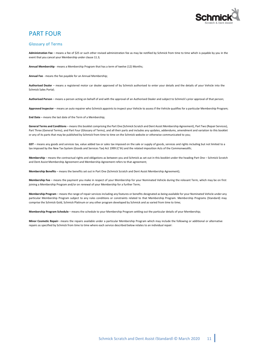

# PART FOUR

### Glossary of Terms

**Administration Fee** – means a fee of \$25 or such other revised administration fee as may be notified by Schmick from time to time which is payable by you in the event that you cancel your Membership under claus[e 11.3;](#page-5-2)

**Annual Membership** - means a Membership Program that has a term of twelve (12) Months;

**Annual Fee** - means the fee payable for an Annual Membership;

**Authorised Dealer** – means a registered motor car dealer approved of by Schmick authorised to enter your details and the details of your Vehicle into the Schmick Sales Portal;

**Authorised Person** – means a person acting on behalf of and with the approval of an Authorised Dealer and subject to Schmick's prior approval of that person;

**Approved Inspector** – means an auto repairer who Schmick appoints to inspect your Vehicle to assess if the Vehicle qualifies for a particular Membership Program;

**End Date** – means the last date of the Term of a Membership;

**General Terms and Conditions** – means this booklet comprising the Part One (Schmick Scratch and Dent Assist Membership Agreement), Part Two (Repair Services), Part Three (General Terms), and Part Four (Glossary of Terms), and all their parts and includes any updates, addendums, amendment and variation to this booklet or any of its parts that may be published by Schmick from time to time on the Schmick website or otherwise communicated to you;

**GST** – means any goods and services tax, value added tax or sales tax imposed on the sale or supply of goods, services and rights including but not limited to a tax imposed by the New Tax System (Goods and Services Tax) Act 1999 (C'th) and the related imposition Acts of the Commonwealth;

**Membership** – means the contractual rights and obligations as between you and Schmick as set out in this booklet under the heading Part One – Schmick Scratch and Dent Assist Membership Agreement and Membership Agreement refers to that agreement;

**Membership Benefits** – means the benefits set out in Part One (Schmick Scratch and Dent Assist Membership Agreement);

**Membership Fee** – means the payment you make in respect of your Membership for your Nominated Vehicle during the relevant Term, which may be on first joining a Membership Program and/or on renewal of your Membership for a further Term;

**Membership Program** – means the range of repair services including any features or benefits designated as being available for your Nominated Vehicle under any particular Membership Program subject to any rules conditions or constraints related to that Membership Program. Membership Programs (Standard) may comprise the Schmick Gold, Schmick Platinum or any other program developed by Schmick and as varied from time to time;

**Membership Program Schedule** – means the schedule to your Membership Program settling out the particular details of your Membership;

**Minor Cosmetic Repair**– means the repairs available under a particular Membership Program which may include the following or additional or alternative repairs as specified by Schmick from time to time where each service described below relates to an individual repair: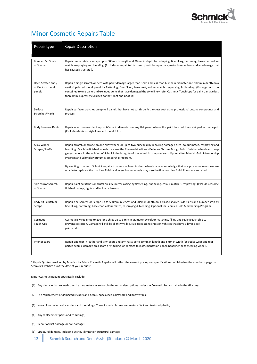

# Minor Cosmetic Repairs Table

| Repair type                                      | <b>Repair Description</b>                                                                                                                                                                                                                                                                                                                                                                                                                       |
|--------------------------------------------------|-------------------------------------------------------------------------------------------------------------------------------------------------------------------------------------------------------------------------------------------------------------------------------------------------------------------------------------------------------------------------------------------------------------------------------------------------|
| <b>Bumper Bar Scratch</b><br>or Scrape           | Repair one scratch or scrape up to 500mm in length and 20mm in depth by reshaping, fine filling, flattening, base coat, colour<br>match, respraying and blending. (Excludes non-painted textured plastic bumper bars, metal bumper bars and any damage that<br>has caused structural).                                                                                                                                                          |
| Deep Scratch and /<br>or Dent on metal<br>panels | Repair a single scratch or dent with paint damage larger than 3mm and less than 60mm in diameter and 10mm in depth on a<br>vertical painted metal panel by flattening, fine filling, base coat, colour match, respraying & blending. (Damage must be<br>contained to one panel and excludes dents that have damaged the style line – refer Cosmetic Touch Ups for paint damage less<br>than 3mm. Expressly excludes bonnet, roof and boot lid.) |
| Surface<br>Scratches/Marks                       | Repair surface scratches on up to 4 panels that have not cut through the clear coat using professional cutting compounds and<br>process.                                                                                                                                                                                                                                                                                                        |
| <b>Body Pressure Dents</b>                       | Repair one pressure dent up to 60mm in diameter on any flat panel where the paint has not been chipped or damaged.<br>(Excludes dents on style lines and metal folds).                                                                                                                                                                                                                                                                          |
| Alloy Wheel<br>Scrapes/Scuffs                    | Repair scratch or scrape on one alloy wheel (or up to two hubcaps) by repairing damaged area, colour match, respraying and<br>blending. Machine finished wheels may lose the fine machine lines. (Excludes Chrome & High Polish finished wheels and deep<br>gauges where in the opinion of Schmick the integrity of the wheel is compromised). Optional for Schmick Gold Membership<br>Program and Schmick Platinum Membership Program.         |
|                                                  | By electing to accept Schmick repairs to your machine finished wheels, you acknowledge that our processes mean we are<br>unable to replicate the machine finish and as such your wheels may lose the fine machine finish lines once repaired.                                                                                                                                                                                                   |
| Side Mirror Scratch<br>or Scrape                 | Repair paint scratches or scuffs on side mirror casing by flattening, fine filling, colour match & respraying. (Excludes chrome<br>finished casings, lights and indicator lenses).                                                                                                                                                                                                                                                              |
| Body Kit Scratch or<br>Scrape                    | Repair one Scratch or Scrape up to 500mm in length and 20cm in depth on a plastic spoiler, side skirts and bumper strip by<br>fine filling, flattening, base coat, colour match, respraying & blending. Optional for Schmick Gold Membership Program.                                                                                                                                                                                           |
| Cosmetic<br><b>Touch Ups</b>                     | Cosmetically repair up to 20 stone chips up to 3 mm in diameter by colour matching, filling and sealing each chip to<br>prevent corrosion. Damage will still be slightly visible. (Excludes stone chips on vehicles that have 3 layer pearl<br>paintwork).                                                                                                                                                                                      |
| Interior tears                                   | Repair one tear in leather and vinyl seats and arm rests up to 80mm in length and 5mm in width (Excludes wear and tear<br>parted seams, damage on a seam or stitching, or damage to instrumentation panel, headliner or to steering wheel).                                                                                                                                                                                                     |

\* Repair Quotes provided by Schmick for Minor Cosmetic Repairs will reflect the current pricing and specifications published on the member's page on Schmick's website as at the date of your request.

Minor Cosmetic Repairs specifically exclude:

- (1) Any damage that exceeds the size parameters as set out in the repair descriptions under the Cosmetic Repairs table in the Glossary;
- (2) The replacement of damaged stickers and decals, specialised paintwork and body wraps;
- (3) Non colour coded vehicle trims and mouldings. These include chrome and metal effect and textured plastic;
- (4) Any replacement parts and trimmings;
- (5) Repair of rust damage or hail damage;
- (6) Structural damage, including without limitation structural damage
- 12 Schmick Scratch and Dent Assist (Standard) © March 2020